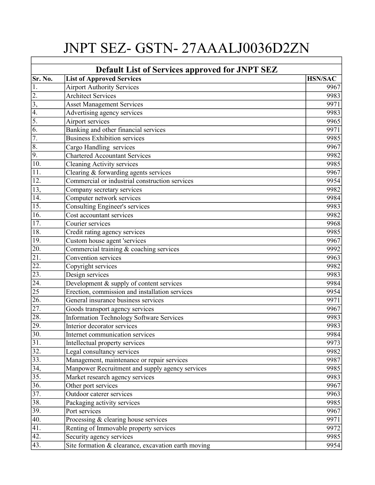## JNPT SEZ- GSTN- 27AAALJ0036D2ZN

| <b>Default List of Services approved for JNPT SEZ</b> |                                                     |                |  |
|-------------------------------------------------------|-----------------------------------------------------|----------------|--|
| Sr. No.                                               | <b>List of Approved Services</b>                    | <b>HSN/SAC</b> |  |
| 1.                                                    | <b>Airport Authority Services</b>                   | 9967           |  |
| $\overline{2}$ .                                      | <b>Architect Services</b>                           | 9983           |  |
| 3,                                                    | <b>Asset Management Services</b>                    | 9971           |  |
| 4.                                                    | Advertising agency services                         | 9983           |  |
| 5.                                                    | Airport services                                    | 9965           |  |
| 6.                                                    | Banking and other financial services                | 9971           |  |
| 7.                                                    | <b>Business Exhibition services</b>                 | 9985           |  |
| $\overline{8}$ .                                      | Cargo Handling services                             | 9967           |  |
| $\overline{9}$ .                                      | <b>Chartered Accountant Services</b>                | 9982           |  |
| 10.                                                   | <b>Cleaning Activity services</b>                   | 9985           |  |
| 11.                                                   | Clearing & forwarding agents services               | 9967           |  |
| 12.                                                   | Commercial or industrial construction services      | 9954           |  |
| 13,                                                   | Company secretary services                          | 9982           |  |
| 14.                                                   | Computer network services                           | 9984           |  |
| $\overline{15}$ .                                     | <b>Consulting Engineer's services</b>               | 9983           |  |
| $\overline{16}$ .                                     | Cost accountant services                            | 9982           |  |
| 17.                                                   | Courier services                                    | 9968           |  |
| 18.                                                   | Credit rating agency services                       | 9985           |  |
| 19.                                                   | Custom house agent 'services                        | 9967           |  |
| 20.                                                   | Commercial training & coaching services             | 9992           |  |
| $\overline{21}$ .                                     | Convention services                                 | 9963           |  |
| 22.                                                   | Copyright services                                  | 9982           |  |
| $\overline{23}$ .                                     | Design services                                     | 9983           |  |
| $\overline{24}$                                       | Development & supply of content services            | 9984           |  |
| 25                                                    | Erection, commission and installation services      | 9954           |  |
| $\overline{26}$ .                                     | General insurance business services                 | 9971           |  |
| 27.                                                   | Goods transport agency services                     | 9967           |  |
| 28.                                                   | Information Technology Software Services            | 9983           |  |
| <b>29.</b>                                            | Interior decorator services                         | 9983           |  |
| $\overline{30.}$                                      | Internet communication services                     | 9984           |  |
| $\overline{31}$ .                                     | Intellectual property services                      | 9973           |  |
| $\overline{32.}$                                      | Legal consultancy services                          | 9982           |  |
| $\overline{33.}$                                      | Management, maintenance or repair services          | 9987           |  |
| $\overline{34,}$                                      | Manpower Recruitment and supply agency services     | 9985           |  |
| 35.                                                   | Market research agency services                     | 9983           |  |
| 36.                                                   | Other port services                                 | 9967           |  |
| $\overline{37}$ .                                     | Outdoor caterer services                            | 9963           |  |
| 38.                                                   | Packaging activity services                         | 9985           |  |
| $\overline{39.}$                                      | Port services                                       | 9967           |  |
| 40.                                                   | Processing & clearing house services                | 9971           |  |
| 41.                                                   | Renting of Immovable property services              | 9972           |  |
| $\overline{42.}$                                      | Security agency services                            | 9985           |  |
| 43.                                                   | Site formation & clearance, excavation earth moving | 9954           |  |